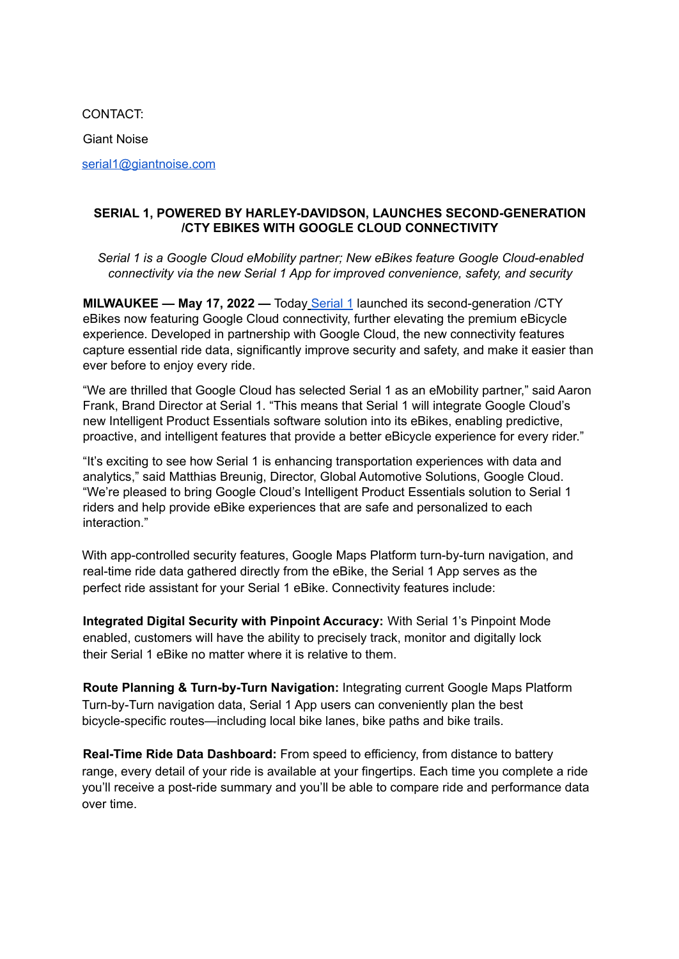CONTACT:

Giant Noise

serial1@giantnoise.com

## **SERIAL 1, POWERED BY HARLEY-DAVIDSON, LAUNCHES SECOND-GENERATION /CTY EBIKES WITH GOOGLE CLOUD CONNECTIVITY**

*Serial 1 is a Google Cloud eMobility partner; New eBikes feature Google Cloud-enabled connectivity via the new Serial 1 App for improved convenience, safety, and security*

**MILWAUKEE — May 17, 2022 —** Today Serial 1 launched its second-generation /CTY eBikes now featuring Google Cloud connectivity, further elevating the premium eBicycle experience. Developed in partnership with Google Cloud, the new connectivity features capture essential ride data, significantly improve security and safety, and make it easier than ever before to enjoy every ride.

"We are thrilled that Google Cloud has selected Serial 1 as an eMobility partner," said Aaron Frank, Brand Director at Serial 1. "This means that Serial 1 will integrate Google Cloud's new Intelligent Product Essentials software solution into its eBikes, enabling predictive, proactive, and intelligent features that provide a better eBicycle experience for every rider."

"It's exciting to see how Serial 1 is enhancing transportation experiences with data and analytics," said Matthias Breunig, Director, Global Automotive Solutions, Google Cloud. "We're pleased to bring Google Cloud's Intelligent Product Essentials solution to Serial 1 riders and help provide eBike experiences that are safe and personalized to each interaction."

With app-controlled security features, Google Maps Platform turn-by-turn navigation, and real-time ride data gathered directly from the eBike, the Serial 1 App serves as the perfect ride assistant for your Serial 1 eBike. Connectivity features include:

**Integrated Digital Security with Pinpoint Accuracy:** With Serial 1's Pinpoint Mode enabled, customers will have the ability to precisely track, monitor and digitally lock their Serial 1 eBike no matter where it is relative to them.

**Route Planning & Turn-by-Turn Navigation:** Integrating current Google Maps Platform Turn-by-Turn navigation data, Serial 1 App users can conveniently plan the best bicycle-specific routes—including local bike lanes, bike paths and bike trails.

**Real-Time Ride Data Dashboard:** From speed to efficiency, from distance to battery range, every detail of your ride is available at your fingertips. Each time you complete a ride you'll receive a post-ride summary and you'll be able to compare ride and performance data over time.